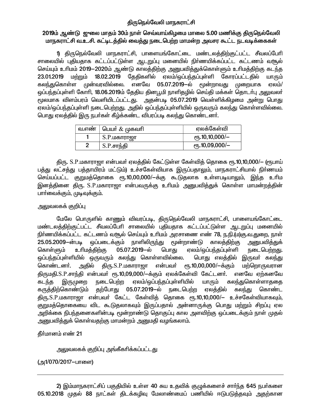# திருநெல்வேலி மாநகராட்சி

## 2019ம் ஆண்டு ஜுலை மாதம் 30ம் நாள் செவ்வாய்கிழமை மாலை 5.00 மணிக்கு திருநெல்வேலி மாநகராட்சி வ.உ.சி. கட்டிடத்தில் வைத்து நடைபெற்ற மாமன்ற அவசர கூட்ட நடவடிக்கைகள்

1) திருநெல்வேலி மாநகராட்சி, பாளையங்கோட்டை மண்டலத்திற்குட்பட்ட சீவலப்பேரி சாலையில் புதியதாக கட்டப்பட்டுள்ள ஆடறுப்பு மனையில் நிர்ணயிக்கப்பட்ட கட்டணம் வசூல் செய்யும் உரிமம் 2019—2020ம் ஆண்டு காலத்திற்கு அனுபவித்துக்கொள்ளும் உரிமத்திற்கு கடந்த 23.01.2019 மற்றும் 18.02.2019 தேதிகளில் ஏலம்/ஒப்பந்தப்புள்ளி கோரப்பட்டதில் யாரும் முன்வரவில்லை. எனவே 05.07.2019—ல் மூன்றாவது கலந்துகொள்ள முறையாக ஏலம்/ ஒப்பந்தப்புள்ளி கோரி, 18.06.2019ம் தேதிய தினபூமி நாளிதழில் செய்தி மக்கள் தொடர்பு அலுவலர் மூலமாக விளம்பரம் வெளியிடப்பட்டது. அதன்படி 05.07.2019 வெள்ளிக்கிழமை அன்று பொது ஏலம்/ஒப்பந்தப்புள்ளி நடைபெற்றது. அதில் ஒப்பந்தப்புள்ளியில் ஒருவரும் கலந்து கொள்ளவில்லை. பொது ஏலத்தில் இரு நபர்கள் கீழ்க்கண்ட விபரப்படி கலந்து கொண்டனர்.

| வ.எண் | பெயர் $\&$ முகவரி | ஏலக்கேள்வி         |
|-------|-------------------|--------------------|
|       | S.P.மகாராஜா       | $e$ гђ.10,10,000/— |
|       | S.P.சாந்தி        | $e$ гђ.10,09,000/— |

திரு. S.P.மகாராஜா என்பவர் ஏலத்தில் கேட்டுள்ள கேள்வித் தொகை ரூ.10,10,000/— (ரூபாய் பத்து லட்சத்து பத்தாயிரம் மட்டும்) உச்சகேள்வியாக இருப்பதாலும், மாநகராட்சியால் நிா்ணயம் செய்யப்பட்ட குறுமத்தொகை ரூ.10,00,000/—க்கு கூடுதலாக உள்ளபடியாலும், இந்த உரிம இனத்தினை திரு. S.P.மகாராஜா என்பவருக்கு உரிமம் அனுபவித்துக் கொள்ள மாமன்றத்தின் பார்வைக்கும், முடிவுக்கும்.

## அலுவலகக் குறிப்பு

மேலே பொருளில் காணும் விவரப்படி, திருநெல்வேலி மாநகராட்சி, பாளையங்கோட்டை மண்டலத்திற்குட்பட்ட சீவலப்பேரி சாலையில் புதியதாக கட்டப்பட்டுள்ள ஆடறுப்பு மனையில் நிர்ணயிக்கப்பட்ட கட்டணம் வசூல் செய்யும் உரிமம் அரசாணை எண் 78, ந.நி.(ம)கு.வ.துறை, நாள் 25.05.2009—ன்படி ஒப்படைக்கும் நாளிலிருந்து மூன்றாண்டு காலத்திற்கு அனுபவித்துக் உரிமத்திற்கு கொள்ளும் 05.07.2019-ல் பொது ஏலம்/ஒப்பந்தப்புள்ளி நடைபெற்றது. ஒப்பந்தப்புள்ளியில் ஒருவரும் கலந்து கொள்ளவில்லை. பொது எலத்தில் இருவா் கலந்து கொண்டனா். அதில் திரு.S.P.மகாராஜா என்பவர் ரூ.10,00,000/-க்கும் மற்றொருவரான திருமதி.S.P.சாந்தி என்பவர் ரூ.10,09,000/—க்கும் ஏலக்கேள்வி கேட்டனர். எனவே ஏற்கனவே நடைபெற்ற ஏலம்/ஒப்பந்தப்புள்ளியில் யாரும் கடந்த இருமுறை கலந்துகொள்ளாகதை கருத்திற்கொண்டும் தற்போது 05.07.2019–ல் நடைபெற்ற ஏலத்தில் கலந்து கொண்ட திரு.S.P.மகாராஜா என்பவர் கேட்ட கேள்வித் தொகை ரூ.10,10,000/— உச்சகேள்வியாகவும், குறுமத்தொகையை விட கூடுதலாகவும் இருப்பதால் அன்னாருக்கு பொது மற்றும் சிறப்பு ஏல அறிக்கை நிபந்தனைகளின்படி மூன்றாண்டு தொகுப்பு கால அளவிற்கு ஒப்படைக்கும் நாள் முதல் <u>அனுபவித்து</u>க் கொள்வதற்கு மாமன்றம் அனுமதி வழங்கலாம்.

தீர்மானம் எண் 21

அலுவலகக் குறிப்பு அங்கீகரிக்கப்பட்டது

(அ1/070/2017-பாளை)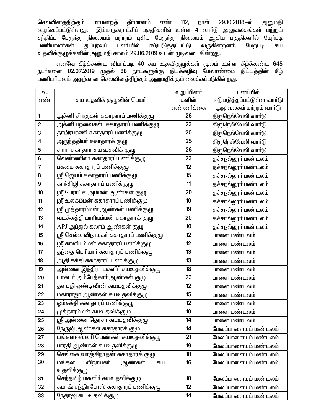செலவினத்திற்கும் மாமன்றத் தீா்மானம் எண்  $112,$ நாள் 29.10.2018-ல் அனுமதி இம்மாநகராட்சிப் பகுதிகளில் உள்ள 4 வாா்டு அலுவலகங்கள் மற்றும் வழங்கப்பட்டுள்ளது. சந்திப்பு பேருந்து நிலையம் மற்றும் புதிய பேருந்து நிலையம் ஆகிய பகுதிகளில் மேற்படி வருகின்றனர். பணியில் ஈடுபடுத்தப்பட்டு பணியாளர்கள் துப்புரவுப் மேற்படி சுய உதவிக்குழுக்களின் அனுமதி காலம் 29.06.2019 உடன் முடிவடைகின்றது.

எனவே கீழ்க்கண்ட விபரப்படி 40 சுய உதவிகுழுக்கள் மூலம் உள்ள கீழ்க்கண்ட 645 நபா்களை 02.07.2019 முதல் 88 நாட்களுக்கு திடக்கழிவு மேலாண்மை திட்டத்தின் கீழ் பணிபுரியவும் அதற்கான செலவினத்திற்கும் அனுமதிக்கும் வைக்கப்படுகின்றது.

| வ.                      |                                                 | உறுப்பினர் | பணியில்                    |
|-------------------------|-------------------------------------------------|------------|----------------------------|
| எண்                     | சுய உதவிக் குழுவின் பெயா்                       | களின்      | ஈடுபடுத்தப்பட்டுள்ள வார்டு |
|                         |                                                 | எண்ணிக்கை  | அலுவலகம் மற்றும் வாா்டு    |
| $\mathbf{1}$            | அக்னி சிறகுகள் சுகாதாரப் பணிக்குழு              | 26         | திருநெல்வேலி வாா்டு        |
| $\mathbf{2}$            | அக்னி பறவைகள்   சுகாதாரப் பணிக்குழு             | 23         | திருநெல்வேலி வாா்டு        |
| 3                       | தாமிரபரணி சுகாதாரப் பணிக்குழு                   | 20         | திருநெல்வேலி வாா்டு        |
| $\overline{\mathbf{4}}$ | அருந்ததியா் சுகாதாரக் குழு                      | 25         | திருநெல்வேலி வாா்டு        |
| 5                       | சாரா சுகாதார சுய உதவிக் குழு                    | 26         | திருநெல்வேலி வாா்டு        |
| $\bf 6$                 | வெண்ணிலா சுகாதாரப் பணிக்குழு                    | 23         | தச்சநல்லூா் மண்டலம்        |
| $\overline{7}$          | பசுமை சுகாதாரப் பணிக்குழு                       | 12         | தச்சநல்லூா் மண்டலம்        |
| 8                       | ஸ்ரீ ஜெயம் சுகாதாரப் பணிக்குழு                  | 15         | தச்சநல்லூா் மண்டலம்        |
| $\boldsymbol{9}$        | காந்திஜி சுகாதாரப் பணிக்குழு                    | 11         | தச்சநல்லூா் மண்டலம்        |
| 10                      | ஸ்ரீ பேராட்சி அம்மன் ஆண்கள் குழு                | 20         | தச்சநல்லூா் மண்டலம்        |
| 11                      | ஸ்ரீ உலகம்மன் சுகாதாரப் பணிக்குழு               | 10         | தச்சநல்லூா் மண்டலம்        |
| 12                      | ஸ்ரீ முத்தாரம்மன் ஆண்கள் பணிக்குழு              | 19         | தச்சநல்லூா் மண்டலம்        |
| 13                      | வடக்கத்தி மாரியம்மன் சுகாதாரக் குழு             | 20         | தச்சநல்லூா் மண்டலம்        |
| 14                      | APJ அப்துல் கலாம் ஆண்கள் குழு                   | 10         | தச்சநல்லூா் மண்டலம்        |
| 15                      | ஸ்ரீ செல்வ விநாயகா் சுகாதாரப் பணிக்குழு         | 12         | பாளை மண்டலம்               |
| 16                      | ஸ்ரீ காளியம்மன் சுகாதாரப் பணிக்குழு             | 12         | பாளை மண்டலம்               |
| 17                      | <mark>தந்தை பெரியாா் சுகாதாரப்</mark> பணிக்குழு | 13         | பாளை மண்டலம்               |
| 18                      | ஆதி சக்தி சுகாதாரப் பணிக்குழு                   | 13         | பாளை மண்டலம்               |
| 19                      | அன்னை இந்திரா மகளிா் சுயஉதவிக்குழு              | 18         | பாளை மண்டலம்               |
| 20                      | டாக்டா் அம்பேத்காா் ஆண்கள் குழு                 | 23         | பாளை மண்டலம்               |
| 21                      | தளபதி ஒண்டிவீரன் சுயஉதவிக்குழு                  | 12         | பாளை மண்டலம்               |
| 22                      | மகாராஜா ஆண்கள் சுயஉதவிக்குழு                    | 15         | பாளை மண்டலம்               |
| 23                      | ஒம்சக்தி சுகாதாரப் பணிக்குழு                    | 12         | பாளை மண்டலம்               |
| 24                      | முத்தாரம்மன் சுயஉதவிக்குழு                      | 10         | பாளை மண்டலம்               |
| 25                      | ஸ்ரீ அன்னை தெரசா சுயஉதவிக்குழு                  | 14         | பாளை மண்டலம்               |
| 26                      | நேருஜி ஆண்கள் சுகாதாரக் குழு                    | 14         | மேலப்பாளையம் மண்டலம்       |
| 27                      | மங்களாஸ்வாி பெண்கள் சுயஉதவிக்குழு               | 21         | மேலப்பாளையம் மண்டலம்       |
| 28                      | பாரதி ஆண்கள் சுயஉதவிக்குழு                      | 19         | மேலப்பாளையம் மண்டலம்       |
| 29                      | செங்கை வாஞ்சிநாதன் சுகாதாரக் குழு               | 18         | மேலப்பாளையம் மண்டலம்       |
| 30                      | ஆண்கள்<br>மங்கள<br>விநாயகா்<br>சுய              | 16         | மேலப்பாளையம் மண்டலம்       |
|                         | உதவிக்குழு                                      |            |                            |
| 31                      | செந்தமிழ் மகளிா் சுயஉதவிக்குழு                  | 10         | மேலப்பாளையம் மண்டலம்       |
| 32                      | சுபாஷ் சந்திரபோஸ் சுகாதாரப் பணிக்குழு           | 12         | மேலப்பாளையம் மண்டலம்       |
| 33                      | நேதாஜி சுய உதவிக்குழு                           | 14         | மேலப்பாளையம் மண்டலம்       |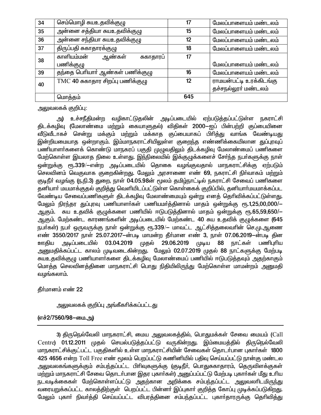| 34 | செம்மொழி சுயஉதவிக்குழு             | 17  | மேலப்பாளையம் மண்டலம்    |
|----|------------------------------------|-----|-------------------------|
| 35 | அன்னை சத்தியா சுயஉதவிக்குழு        | 15  | மேலப்பாளையம் மண்டலம்    |
| 36 | அன்னை சந்தியா சுயஉதவிக்குழு        | 12  | மேலப்பாளையம் மண்டலம்    |
| 37 | திருப்பதி சுகாதாரக்குழு            | 18  | மேலப்பாளையம் மண்டலம்    |
| 38 | காளியம்மன்<br>ஆண்கள்<br>சுகாதாரப்  | 17  |                         |
|    | பணிக்குழு                          |     | மேலப்பாளையம் மண்டலம்    |
| 39 | தந்தை பெரியாா் ஆண்கள் பணிக்குழு    | 16  | மேலப்பாளையம் மண்டலம்    |
| 40 | $TMC$ 40 சுகாதார சிறப்பு பணிக்குழு | 12  | ராமயன்பட்டி உரக்கிடங்கு |
|    |                                    |     | தச்சநல்லூா் மண்டலம்     |
|    | மொத்தம்                            | 645 |                         |

அலுவலகக் குறிப்பு:

அ) உச்சநீதிமன்ற வழிகாட்டுதலின் அடிப்படையில் ஏற்படுத்தப்பட்டுள்ள நகராட்சி திடக்கழிவு (மேலாண்மை மற்றும் கையாளுதல்) விதிகள் 2000—ஐப் பின்பற்றி குப்பையினை வீடுவீடாகச் சென்று மக்கும் மற்றும் மக்காத குப்பையாகப் பிரித்து வாங்க வேண்டியது இன்றியமையாத ஒன்றாகும். இம்மாநகராட்சியிலுள்ள குறைந்த எண்ணிக்கையிலான துப்புரவுப் பணியாளா்களைக் கொண்டு மாநகரப் பகுதி முழுவதிலும் திடக்கழிவு மேலாண்மைப் பணிகளை மேற்கொள்ள இயலாத நிலை உள்ளது. இந்நிலையில் இக்குழுக்களைச் சேர்ந்த நபர்களுக்கு நாள் ஒன்றுக்கு ரூ.339/—என்ற அடிப்படையில் தொகை வழங்குவதால் மாநகராட்சிக்கு ஏற்படும் செலவினம் வெகுவாக குறைகின்றது. மேலும் அரசாணை எண் 69, நகராட்சி நிர்வாகம் மற்றும் குடிநீர் வழங்கு (ந.நி.3) துறை, நாள் 04.05.98ன் மூலம் தமிழ்நாட்டில் நகராட்சி சேவைப் பணிகளை தனியார் மயமாக்குதல் குறித்து வெளியிடப்பட்டுள்ள கொள்கைக் குறிப்பில், தனியார்மயமாக்கப்பட வேண்டிய சேவைப்பணிகளுள் திடக்கழிவு மேலாண்மையும் ஒன்று எனத் தெரிவிக்கப்பட்டுள்ளது. மேலும் நிரந்தர துப்புரவு பணியாளர்கள் பணியமர்த்தினால் மாதம் ஒன்றுக்கு ரூ.1,25,00,000/— ஆகும். சுய உதவிக் குழுக்களை பணியில் ஈடுபடுத்தினால் மாதம் ஒன்றுக்கு ரூ.65,59,650/— ஆகும். மேற்கண்ட காரணங்களின் அடிப்படையில் மேற்கண்ட 40 சுய உதவிக் குழுக்களை (645 நபர்கள்) நபர் ஒருவருக்கு நாள் ஒன்றுக்கு ரூ.339/— மாவட்ட ஆட்சித்தலைவரின் செ.மு.ஆணை எண் 3550/2017 நாள் 25.07.2017-ன்படி மாமன்ற தீர்மான எண் 3, நாள் 07.06.2019-ன்படி தின அடிப்படையில் 03.04.2019 முதல் 29.06.2019 ஊகிய முடிய 88 நாட்கள் பணிபுரிய அனுமதிக்கப்பட்ட காலம் முடிவடைகின்றது. மேலும் 02.07.2019 முதல் 88 நாட்களுக்கு மேற்படி சுயஉதவிக்குழு பணியாளா்களை திடக்கழிவு மேலாண்மைப் பணியில் ஈடுபடுத்தவும் அதற்காகும் மொத்த செலவினத்தினை மாநகராட்சி பொது நிதியிலிருந்து மேற்கொள்ள மாமன்றம் அனுமதி வழங்கலாம்.

தீர்மானம் எண் 22

அலுவலகக் குறிப்பு அங்கீகரிக்கப்பட்டது

(எச்2/7560/98-யை.அ)

3) திருநெல்வேலி மாநகராட்சி, மைய அலுவலகத்தில், பொதுமக்கள் சேவை மையம் (Call Centre) 01.12.2011 முதல் செயல்படுத்தப்பட்டு வருகின்றது. இம்மையத்தில் திருநெல்வேலி மாநகராட்சிக்குட்பட்ட பகுதிகளில் உள்ள மாநகராட்சியின் சேவைகள் தொடர்பான புகார்கள் 1800 425 4656 என்ற Toll Free எண் மூலம் பெறப்பட்டு கணினியில் பதிவு செய்யப்பட்டு நான்கு மண்டல அலுவலகங்களுக்கும் சம்பந்தப்பட்ட பிரிவுகளுக்கு (குடிநீர், பொதுசுகாதாரம், தெருவிளக்குகள் மற்றும் மாநகராட்சி சேவை தொடர்பான இதர புகார்கள்) அனுப்பப்பட்டு மேற்படி புகார்கள் மீது உரிய நடவடிக்கைகள் மேற்கொள்ளப்பட்டு அதற்கான அறிக்கை சம்பந்தப்பட்ட அலுவலாிடமிருந்து வரையறுக்கப்பட்ட காலத்திற்குள் பெறப்பட்ட பின்னர் இப்புகார் குறித்த கோப்பு முடிக்கப்படுகிறது. மேலும் புகாா் நிவா்த்தி செய்யப்பட்ட விபரத்தினை சம்பந்தப்பட்ட புகாா்தாரருக்கு தொிவித்து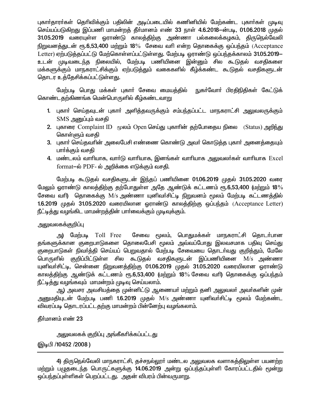புகாா்தாரா்கள் தொிவிக்கும் பதிலின் அடிப்படையில் கணினியில் மேற்கண்ட புகாா்கள் முடிவு செய்யப்படுகிறது இப்பணி மாமன்றத் தீர்மானம் எண் 33 நாள் 4.6.2018–ன்படி, 01.06.2018 முதல் 31.05.2019 வரையுள்ள ஒராண்டு காலத்திற்கு அண்ணா பல்கலைக்கழகம், திருநெல்வேலி நிறுவனத்துடன் ரூ.6,53,400 மற்றும் 18% சேவை வரி என்ற தொகைக்கு ஒப்பந்தம் (Acceptance Letter) ஏற்படுத்தப்பட்டு மேற்கொள்ளப்பட்டுள்ளது. மேற்படி ஓராண்டு ஒப்பந்தக்காலம் 31.05.2019– உடன் முடிவடைந்த நிலையில், மேற்படி பணியினை இன்னும் சில கூடுகல் வசகிகளை மக்களுக்கும் மாநகராட்சிக்கும் ஏற்படுத்தும் வகைகளில் கீழ்க்கண்ட கூடுதல் வசதிகளுடன் <u>தொடர உத்தேசிக்கப்பட்டுள்ளது.</u>

மேற்படி பொது மக்கள் புகாா் சேவை மையத்தில் நுகா்வோா் பிரதிநிதிகள் கேட்டுக் கொண்டகற்கிணங்க மென்பொருளில் கீழ்கண்டவாறு

- 1. புகாா் செய்தவுடன் புகாா் அளித்தவருக்கும் சம்பந்தப்பட்ட மாநகராட்சி அலுவலருக்கும்  ${\rm SMS}$  அனுப்பும் வசதி
- 2. புகாரை Complaint ID மூலம் Open செய்து புகாரின் தற்போதைய நிலை (Status) அறிந்து கொள்ளும் வசகி
- 3. புகார் செய்தவரின் அலைபேசி எண்ணை கொண்டு அவர் கொடுத்த புகார் அனைத்தையும் பார்க்கும் வசகி
- 4. மண்டலம் வாரியாக, வாா்டு வாாியாக, இனங்கள் வாாியாக அலுவலா்கள் வாாியாக Excel format-ல் PDF- ல் அறிக்கை எடுக்கும் வசதி.

மேற்படி கூடுதல் வசதிகளுடன் இந்தப் பணியினை 01.06.2019 முதல் 31.05.2020 வரை மேலும் ஓராண்டு காலத்திற்கு தற்போதுள்ள அதே ஆண்டுக் கட்டணம் ரூ.6,53,400 (மற்றும் 18 $\%$ சேவை வரி) தொகைக்கு M/s அண்ணா யுனிவா்சிட்டி நிறுவனம் மூலம் மேற்படி கட்டணத்தில் 1.6.2019 முதல் 31.05.2020 வரையிலான ஓராண்டு காலத்திற்கு ஒப்பந்தம் (Acceptance Letter) நீட்டித்து வழங்கிட மாமன்றத்தின் பார்வைக்கும் முடிவுக்கும்.

## அலுவலகக்குறிப்பு

அ) மேற்படி Toll Free சேவை மூலம், பொதுமக்கள் மாநகராட்சி தொடர்பான தங்களுக்கான குறைபாடுகளை தொலைபேசி மூலம் அவ்வப்போது இலவசமாக பதிவு செய்து குறைபாடுகள் நிவர்த்தி செய்யப் பெறுவதால் மேற்படி சேவையை தொடர்வது குறித்தும், மேலே பொருளில் குறிப்பிட்டுள்ள சில கூடுதல் வசதிகளுடன் இப்பணியினை M/s அண்ணா யுனிவா்சிட்டி, சென்னை நிறுவனத்திற்கு 01.06.2019 முதல் 31.05.2020 வரையிலான ஒராண்டு காலத்திற்கு ஆண்டுக் கட்டணம் ரூ.6,53,400 (மற்றும் 18% சேவை வரி) தொகைக்கு ஒப்பந்தம் நீட்டித்து வழங்கவும் மாமன்றம் முடிவு செய்யலாம்.

ஆ) அவசர அவசியத்தை முன்னிட்டு ஆணையா் மற்றும் தனி அலுவலா் அவா்களின் முன் அனுமதியுடன் மேற்படி பணி 1.6.2019 முதல் M/s அண்ணா யுனிவர்சிட்டி மூலம் மேற்கண்ட விவரப்படி தொடரப்பட்டதற்கு மாமன்றம் பின்னேற்பு வழங்கலாம்.

தீர்மானம் எண் 23

அலுவலகக் குறிப்பு அங்கீகரிக்கப்பட்டது

(இடிபி /10452 /2008 )

4) திருநெல்வேலி மாநகராட்சி, தச்சநல்லூா் மண்டல அலுவலக வளாகத்திலுள்ள பயனற்ற மற்றும் பழுதடைந்த பொருட்களுக்கு 14.06.2019 அன்று ஒப்பந்தப்புள்ளி கோரப்பட்டதில் மூன்று ஒப்பந்தப்புள்ளிகள் பெறப்பட்டது. அதன் விபரம் பின்வருமாறு.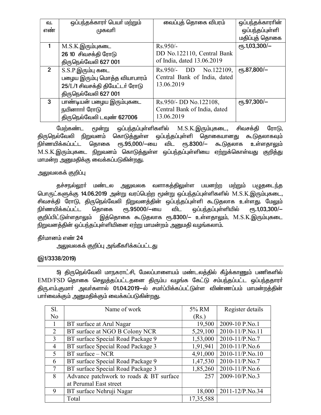| ഖ.             | ஒப்பந்தக்காரா் பெயா் மற்றும்           | வைப்புத் தொகை விபரம்         | ஒப்பந்தக்காராின்       |
|----------------|----------------------------------------|------------------------------|------------------------|
| எண்            | முகவரி                                 |                              | ஒப்பந்தப்புள்ளி        |
|                |                                        |                              | மதிப்புத் தொகை         |
|                | $M.S.K.\overline{\text{Q}}$ ரும்புகடை  | $Rs.950/-$                   | ет5.1,03,300/-         |
|                | 26 10 சிவசக்தி ரோடு                    | DD No.122110, Central Bank   |                        |
|                | திருநெல்வேலி 627 001                   | of India, dated 13.06.2019   |                        |
| $\overline{2}$ | $S.S.P.\overline{\text{Q}}$ ரும்பு கடை | DD No.122109,<br>$Rs.950/-$  | $\epsilon$ гђ.87,800/- |
|                | பழைய இரும்பு மொத்த வியாபாரம்           | Central Bank of India, dated |                        |
|                | 25/L/1 சிவசக்தி தியேட்டர் ரோடு         | 13.06.2019                   |                        |
|                | திருநெல்வேலி 627 001                   |                              |                        |
| 3              | பாண்டியன் பழைய இரும்புகடை              | Rs.950/- DD No.122108,       | еҧ.97,300/-            |
|                | நயினாார் ரோடு                          | Central Bank of India, dated |                        |
|                | திருநெல்வேலி டவுண் 627006              | 13.06.2019                   |                        |

மேற்கண்ட மூன்று ஒப்பந்தப்புள்ளிகளில் M.S.K.இரும்புகடை, சிவசக்தி ரோடு, திருநெல்வேலி நிறுவனம் கொடுத்துள்ள ஒப்பந்தப்புள்ளி தொகையானது கூடுதலாகவும் நிர்ணயிக்கப்பட்ட தொகை ரூ.95,000/—யை விட ரூ.8300/— கூடுதலாக உள்ளதாலும் M.S.K.இரும்புகடை நிறுவனம் கொடுத்துள்ள ஒப்பந்தப்புள்ளியை ஏற்றுக்கொள்வது குறித்து மாமன்ற அனுமதிக்கு வைக்கப்படுகின்றது.

## அலுவலகக் குறிப்பு

தச்சநல்லூா் மண்டல அலுவலக வளாகத்திலுள்ள பயனற்ற மற்றும் பழுதடைந்த பொருட்களுக்கு 14.06.2019 அன்று வரப்பெற்ற மூன்று ஒப்பந்தப்புள்ளிகளில் M.S.K.இரும்புகடை, சிவசக்தி ரோடு, திருநெல்வேலி நிறுவனத்தின் ஒப்பந்தப்புள்ளி கூடுதலாக உள்ளது. மேலும் நிர்ணயிக்கப்பட்ட தொகை ரூ.95000/-யை விட ஒப்பந்தப்புள்ளியில் ரூ.1,03,300/-குறிப்பிட்டுள்ளதாலும் இத்தொகை கூடுதலாக ரூ.8300/— உள்ளதாலும், M.S.K.இரும்புகடை நிறுவனத்தின் ஒப்பந்தப்புள்ளியினை ஏற்று மாமன்றம் அனுமதி வழங்கலாம்.

## தீர்மானம் எண் 24

அலுவலகக் குறிப்பு அங்கீகரிக்கப்பட்டது

## (@1/3338/2019)

5) திருநெல்வேலி மாநகராட்சி, மேலப்பாளையம் மண்டலத்தில் கீழ்க்காணும் பணிகளில்  $EMD/FSD$  தொகை செலுத்தப்பட்டதனை திரும்ப வழங்க கேட்டு சம்பந்தப்பட்ட ஒப்பந்ததாரா் திரு.எம்.குமார் அவர்களால் 01.04.2019-ல் சமர்ப்பிக்கப்பட்டுள்ள விண்ணப்பம் மாமன்றத்தின் பாா்வைக்கும் அனுமதிக்கும் வைக்கப்படுகின்றது.

| Sl.            | Name of work                            | 5% RM     | Register details |
|----------------|-----------------------------------------|-----------|------------------|
| N <sub>o</sub> |                                         | (Rs.)     |                  |
| 1              | BT surface at Arul Nagar                | 19,500    | 2009-10 P.No.1   |
| 2              | BT surface at NGO B Colony NCR          | 5,29,100  | 2010-11/P.No.11  |
| 3              | BT surface Special Road Package 9       | 1,53,000  | 2010-11/P.No.7   |
| $\overline{4}$ | BT surface Special Road Package 3       | 1,91,941  | 2010-11/P.No.6   |
| 5              | BT surface - NCR                        | 4,91,000  | 2010-11/P.No.10  |
| 6              | BT surface Special Road Package 9       | 1,47,530  | 2010-11/P.No.7   |
| $\tau$         | BT surface Special Road Package 3       | 1,85,260  | 2010-11/P.No.6   |
| 8              | Advance patchwork to roads & BT surface | 257       | 2009-10/P.No.3   |
|                | at Perumal East street                  |           |                  |
| 9              | BT surface Nehruji Nagar                | 18,000    | 2011-12/P.No.34  |
|                | Total                                   | 17,35,588 |                  |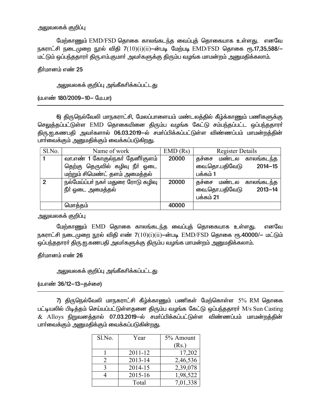#### அலுவலகக் குறிப்பு

மேற்காணும் EMD/FSD தொகை காலங்கடந்த வைப்புத் தொகையாக உள்ளது. எனவே நகராட்சி நடைமுறை நூல் விதி 7(10)(i)(ii)—ன்படி மேற்படி EMD/FSD தொகை ரூ.17,35,588/— மட்டும் ஒப்பந்ததாரா் திரு.எம்.குமாா் அவா்களுக்கு திரும்ப வழங்க மாமன்றம் அனுமதிக்கலாம்.

தீர்மானம் எண் 25

<u>அலுவலகக் குறிப்பு அங்கீகரிக்கப்பட்டது</u>

(ம.எண் 180/2009-10- மே.பா)

6) திருநெல்வேலி மாநகராட்சி, மேலப்பாளையம் மண்டலத்தில் கீழ்க்காணும் பணிகளுக்கு செலுத்தப்பட்டுள்ள EMD தொகையினை திரும்ப வழங்க கேட்டு சம்பந்தப்பட்ட ஒப்பந்ததாரர் திரு.ஐ.கணபதி அவர்களால் 06.03.2019-ல் சமர்ப்பிக்கப்பட்டுள்ள விண்ணப்பம் மாமன்றத்தின் பாா்வைக்கும் அனுமதிக்கும் வைக்கப்படுகிறது.

| Sl.No.        | Name of work                       | EMD(Rs) | <b>Register Details</b>      |
|---------------|------------------------------------|---------|------------------------------|
|               | வா.எண் 1 கோகுல்நகர் தேனீர்குளம்    | 20000   | காலங்கடந்த<br>தச்சை மண்டல    |
|               | தெற்கு தெருவில் கழிவு நீா் ஓடை     |         | $2014 - 15$<br>வை.தொ.பதிவேடு |
|               | மற்றும் சிமெண்ட் தளம் அமைத்தல்     |         | பக்கம் 1                     |
| $\mathcal{P}$ | நல்மேய்ப்பா் நகா் மதுரை ரோடு கழிவு | 20000   | காலங்கடந்த<br>தச்சை மண்டல    |
|               | நீா் ஓடை அமைத்தல்                  |         | வை.தொ.பதிவேடு<br>$2013 - 14$ |
|               |                                    |         | பக்கம் 21                    |
|               | மொத்தம்                            | 40000   |                              |

அலுவலகக் குறிப்பு

மேற்காணும் EMD தொகை காலங்கடந்த வைப்புத் தொகையாக உள்ளது. எனவே நகராட்சி நடைமுறை நூல் விதி எண் 7 $(10)(i)(ii)$ —ன்படி  $\,$  EMD/FSD தொகை ரூ.40000/— மட்டும் ஒப்பந்ததாரா் திரு.ஐ.கணபதி அவா்களுக்கு திரும்ப வழங்க மாமன்றம் அனுமதிக்கலாம்.

தீர்மானம் எண் 26

அலுவலகக் குறிப்பு அங்கீகரிக்கப்பட்டது

(ம.எண் 36/12–13–தச்சை)

7) திருநெல்வேலி மாநகராட்சி கீழ்க்காணும் பணிகள் மேற்கொள்ள 5% RM தொகை பட்டியலில் பிடித்தம் செய்யப்பட்டுள்ளதனை திரும்ப வழங்க கேட்டு ஒப்பந்ததாரர் M/s Sun Casting & Alloys நிறுவனத்தால் 07.03.2019–ல் சமா்ப்பிக்கப்பட்டுள்ள விண்ணப்பம் மாமன்றத்தின் பார்வைக்கும் அனுமதிக்கும் வைக்கப்படுகின்றது.

| Sl.No. | Year    | 5% Amount |
|--------|---------|-----------|
|        |         | (Rs.)     |
|        | 2011-12 | 17,202    |
|        | 2013-14 | 2,46,536  |
|        | 2014-15 | 2,39,078  |
|        | 2015-16 | 1,98,522  |
|        | Total   | 7,01,338  |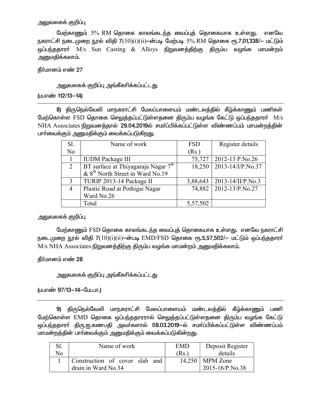## அலுவலகக் குறி**ப்**பு

மேற்காணும் 5% RM தொகை காலங்கடந்த வைப்புத் தொகையாக உள்ளது. எனவே நகராட்சி நடைமுறை நூல் விதி 7 $(10)$ (i)(ii)—ன்படி மேற்படி 5% RM தொகை ரூ.7,01,338/— மட்டும் ஒப்பந்ததாரா் M/s Sun Casting & Alloys நிறுவனத்திற்கு திரும்ப வழங்க மாமன்றம் அனுமதிக்கலாம்.

தீர்மானம் எண் 27

<u>அலு</u>வலகக் குறிப்பு அங்கீகரிக்கப்பட்டது

(ம.எண் 112/13-14)

8) திருநெல்வேலி மாநகராட்சி மேலப்பாளையம் மண்டலத்தில் கீழ்க்காணும் பணிகள் மேற்கொள்ள FSD தொகை செலுத்தப்பட்டுள்ளதனை திரும்ப வழங்க கேட்டு ஒப்பந்ததாரா்  $M/s$ NHA Associates நிறுவனத்தால் 29.04.2019ல் சமர்ப்பிக்கப்பட்டுள்ள விண்ணப்பம் மாமன்றத்தின் பார்வைக்கும் அனுமதிக்கும் வைக்கப்படுகிறது.

| SI.           | Name of work                                 | <b>FSD</b> | Register details         |
|---------------|----------------------------------------------|------------|--------------------------|
| No            |                                              | (Rs.)      |                          |
|               | <b>IUDM</b> Package III                      | 75,727     | 2012-13 P.No.26          |
| $\mathcal{L}$ | BT surface at Thiyagaraja Nagar $7th$        | 18,250     | 2013-14/I/P.No.37        |
|               | & 8 <sup>th</sup> North Street in Ward No.19 |            |                          |
| $\mathcal{E}$ | TURIP 2013-14 Package II                     | 3,88,643   | $2013 - 14/II/P$ . No. 3 |
|               | Plastic Road at Pothigai Nagar               | 74,882     | 2012-13/P.No.27          |
|               | Ward No.26                                   |            |                          |
|               | Total                                        | 5,57,502   |                          |

அலுவலகக் குறிப்பு

மேற்காணும் FSD தொகை காலங்கடந்த வைப்புத் தொகையாக உள்ளது. எனவே நகராட்சி நடைமுறை நூல் விதி 7(10)(i)(ii)--ன்படி EMD/FSD தொகை ரூ.5,57,502/- மட்டும் ஒப்பந்ததாரா் M/s NHA Associates நிறுவனத்திற்கு திரும்ப வழங்க மாமன்றம் அனுமதிக்கலாம்.

தீர்மானம் எண் 28

அலுவலகக் குறிப்பு அங்கீகரிக்கப்பட்டது

(ம.எண் 97/13-14-மே.பா.)

9) திருநெல்வேலி மாநகராட்சி மேலப்பாளையம் மண்டலத்தில் கீம்க்காணும் பணி மேற்கொள்ள EMD தொகை ஒப்பந்ததாரரால் செலுத்தப்பட்டுள்ளதனை திரும்ப வழங்க கேட்டு ஒப்பந்ததாரா் திரு.<u>ஐ</u>.கணபதி அவா்களால் 08.03.2019—ல் சமா்ப்பிக்கப்பட்டுள்ள விண்ணப்பம் மாமன்றத்தின் பார்வைக்கும் அனுமதிக்கும் வைக்கப்படுகின்றது.

|    | Name of work                   | <b>EMD</b> | Deposit Register       |
|----|--------------------------------|------------|------------------------|
| Nο |                                | (Rs.       | details                |
|    | Construction of cover slab and |            | $14,250$   MPM Zone    |
|    | drain in Ward No.34            |            | $2015 - 16/P$ . No. 38 |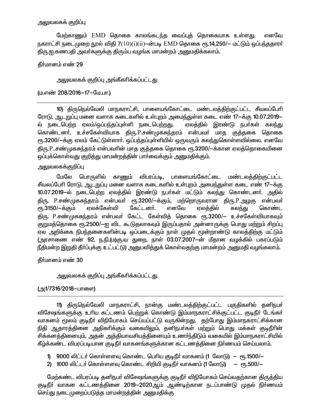## அலுவலகக் குறிப்பு

மேற்காணும் EMD தொகை காலங்கடந்த வைப்புத் தொகையாக உள்ளது. எனவே நகராட்சி நடைமுறை நூல் விதி 7(10)(i)(ii)—ன்படி EMD தொகை ரூ.14.250/— மட்டும் ஒப்பந்ததாரர் திரு.ஐ.கணபதி அவர்களுக்கு திரும்ப வழங்க மாமன்றம் அனுமதிக்கலாம்.

## தீர்மானம் எண் 29

<u>அலுவலகக் குறிப்பு அங்கீகரிக்கப்பட்டது</u>

#### (ம.எண் 208/2016-17-மே.பா.)

10) திருநெல்வேலி மாநகராட்சி, பாளையங்கோட்டை மண்டலத்திற்குட்பட்ட சீவலப்பேரி ரோடு, ஆடறுப்பு மனை வளாக கடைகளில் உள்புறம் அமைந்துள்ள கடை எண் 17-க்கு 10.07.2019– ல் நடைபெற்ற ஏலம்/ஒப்பந்தப்புள்ளி நடைபெற்றது. ஏலத்தில் இரண்டு நபர்கள் கலந்து கொண்டனா். உச்சகேள்வியாக திரு.P.சண்முகசுந்தரம் என்பவா் மாத குத்தகை தொகை ரூ.3200/—க்கு ஏலம் கேட்டுள்ளார். ஒப்பந்தப்புள்ளியில் ஒருவரும் கலந்துகொள்ளவில்லை. எனவே திரு.P..சண்முகசுந்தரம் என்பவரின் மாத குத்தகை தொகை ரூ.3200/—க்கான ஏலத்தொகையினை ஒப்புக்கொள்வது குறித்து மாமன்றத்தின் பார்வைக்கும் அனுமதிக்கும்.

#### அலுவலகக்குறிப்பு

மேலே பொருளில் காணும் விபரப்படி, பாளையங்கோட்டை மண்டலக்கிற்குட்பட்ட சீவலப்பேரி ரோடு, ஆடறுப்பு மனை வளாக கடைகளில் உள்புறம் அமைந்துள்ள கடை எண் 17-க்கு 10.07.2019-ல் நடைபெற்ற ஏலத்தில் இரண்டு நபா்கள் மட்டும் கலந்து கொண்டனா். அதில் திரு. P.சண்முகசுந்தரம் என்பவர் ரூ.3200/-க்கும், மற்றொருவரான திரு.P.அழகு என்பவர் ரூ.3150/-க்கும் எலக்கேள்வி கேட்டனர். எனவே ஏலக்கில் கொண்ட கலந்து திரு. P.சண்முகசுந்தரம் என்பவர் கேட்ட கேள்வித் தொகை ரூ.3200/— உச்சகேள்வியாகவும் குறுமத்தொகை ரூ.2500/—ஐ விட கூடுதலாகவும் இருப்பதால் அன்னாருக்கு பொது மற்றும் சிறப்பு ஏல அறிக்கை நிபந்தனைகளின்படி ஒப்படைக்கும் நாள் முதல் மூன்றாண்டு காலத்திற்கு மட்டும் (அரசாணை எண் 92, ந.நி.(ம)கு.வ துறை, நாள் 03.07.2007-ன் மீதான வழக்கில் பகரப்படும் நீதிமன்ற இறுதி தீா்ப்புக்கு உட்பட்டு) அனுபவித்துக் கொள்வதற்கு மாமன்றம் அனுமதி வழங்கலாம்.

கீர்மானம் எண் 30

#### அலுவலகக் குறிப்பு அங்கீகரிக்கப்பட்டது

## (அ1/7316/2018-பாளை)

11) திருநெல்வேலி மாநகராட்சி, நான்கு மண்டலத்திற்குட்பட்ட பகுதிகளில் தனிநபர் விசேஷங்களுக்கு உரிய கட்டணம் பெற்றுக் கொண்டு இம்மாநகராட்சிக்குட்பட்ட குடிநீா் டேங்கா் வாகனம் மூலம் குடிநீா் விநியோகம் செய்யப்பட்டு வருகின்றது. தற்போது இம்மாநகராட்சிக்கான நிதி ஆதாரத்தினை அதிகரிக்கும் வகையிலும், தனிநபர்கள் மற்றும் பொது மக்கள் குடிநீரின் சிக்கனத்தினையும், அதன் அத்தியாவசியத்தினையும் உணர்ந்திடும் வகையில் இம்மாநகராட்சியில் கீழ்க்கண்ட விபரப்படியான குடிநீர் வாகனங்களுக்கான கட்டணத்தினை நிர்ணயம் செய்யலாம்.

1) 9000 லிட்டர் கொள்ளளவு கொண்ட பெரிய குடிநீர் வாகனம் (1 லோடு) — ரூ.1500/—

2) 1000 லிட்டர் கொள்ளளவு கொண்ட சிறியி குடிநீர் வாகனம் (1 லோடு) – ரூ.500/—

மேற்கண்ட விபரப்படி தனிநபர் விசேஷங்களுக்கு குடிநீர் விநியோகம் செய்வதற்கான திருத்திய குடிநீா் வாகன கட்டணத்தினை 2019–2020ஆம் ஆண்டிற்கான நடப்பாண்டு முதல் நிா்ணயம் செய்து நடைமுறைப்படுத்த மாமன்றத்தின் அனுமதிக்கு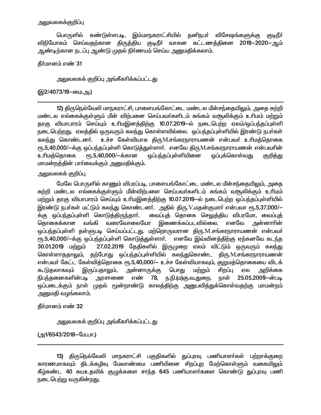#### அலுவலகக்குறிப்பு

பொருளில் கண்டுள்ளபடி, இம்மாநகராட்சியில் தனிநபா் விசேஷங்களுக்கு குடிநீா் விநியோகம் செய்வதற்கான திருத்திய குடிநீா் வாகன கட்டணத்தினை 2019—2020—ஆம் ஆண்டிற்கான நடப்பு ஆண்டு முதல் நிா்ணயம் செய்ய அனுமதிக்கலாம்.

## தீர்மானம் எண் 31

அலுவலகக் குறிப்பு அங்கீகரிக்கப்பட்டது

#### (இ2/4073/19-யை.அ.)

12) திருநெல்வேலி மாநகராட்சி, பாளையங்கோட்டை மண்டல மீன்சந்தையிலும், அதை சுற்றி மண்டல எல்கைக்குள்ளும் மீன் விற்பனை செய்பவர்களிடம் சுங்கம் வசூலிக்கும் உரிமம் மற்றும் தரகு வியாபாரம் செய்யும் உரிமஇனத்திற்கு 10.07.2019—ல் நடைபெற்ற ஏலம்/ஒப்பந்தப்புள்ளி நடைபெற்றது. ஏலத்தில் ஒருவரும் கலந்து கொள்ளவில்லை. ஒப்பந்தப்புள்ளியில் இரண்டு நபர்கள் கலந்து கொண்டனர். உச்ச கேள்வியாக திரு.M.சங்கரநாராயணன் என்பவர் உரிமத்தொகை ரு.5,40,000/-க்கு ஒப்பந்தப்புள்ளி கொடுத்துள்ளார். எனவே திருM.சங்கரநாராயணன் என்பவரின் உரிமக்கொகை ரு.5,40,000/-க்கான ஒப்பந்தப்புள்ளியினை ஒப்புக்கொள்வது குறித்து மாமன்றத்தின் பார்வைக்கும் அனுமதிக்கும்.

#### அலுவலகக் குறிப்பு

மேலே பொருளில் காணும் விபரப்படி, பாளையங்கோட்டை மண்டல மீன்சந்தையிலும், அதை சுற்றி மண்டல எல்கைக்குள்ளும் மீன்விற்பளை செய்பவர்களிடம் சுங்கம் வசூலிக்கும் உரிமம் மற்றும் தரகு வியாபாரம் செய்யும் உரிமஇனத்திற்கு 10.07.2019—ல் நடைபெற்ற ஒப்பந்தப்புள்ளியில் இரண்டு நபர்கள் மட்டும் கலந்து கொண்டனர். அதில் திரு.V.மதன்குமார் என்பவா ரூ.5,37,000/— க்கு ஒப்பந்தப்புள்ளி கொடுக்கிருந்தார். வைப்புத் தொகை செலுத்திய விபரமோ, வைப்புத் இணைக்கப்படவில்லை. எனவே வரைவோலையோ கொகைக்கான வங்கி அன்னாாின் ஒப்பந்தப்புள்ளி தள்ளுபடி செய்யப்பட்டது. மற்றொருவரான திரு.M.சங்கரநாராயணன் என்பவர் ரூ.5,40,000/-க்கு ஒப்பந்தப்புள்ளி கொடுத்துள்ளார். எனவே இவ்வினத்திற்கு ஏற்கனவே கடந்த 30.01.2019 மற்றும் 27.02.2019 தேதிகளில் இருமுறை ஏலம் விட்டும் ஒருவரும் கலந்து கொள்ளாததாலும், தற்போது ஒப்பந்தப்புள்ளியில் கலந்துகொண்ட திரு.M.சங்கரநாராயணன் என்பவர் கேட்ட கேள்வித்தொகை ரூ.5,40,000/– உச்ச கேள்வியாகவும், குறுமத்தொகையை விடக் கூடுதலாகவும் இருப்பதாலும், அன்னாருக்கு பொது சிறப்பு மற்றும் ஏல அறிக்கை 25.05.2009-ன்படி நிபந்தனைகளின்படி அரசாணை எண் 78, ந.நி.(ம)கு.வ.துறை, நாள் ஒப்படைக்கும் நாள் முதல் மூன்றாண்டு காலத்திற்கு அனுபவித்துக்கொள்வதற்கு மாமன்றம் அனுமதி வழங்கலாம்.

#### தீர்மானம் எண் 32

அலுவலகக் குறிப்பு அங்கீகாிக்கப்பட்டது

(அ1/6543/2018–மே.பா.)

<sup>13)</sup> திருநெல்வேலி மாநகராட்சி பகுதிகளில் துப்புரவு பணியாளா்கள் பற்றாக்குறை காரணமாகவும் திடக்கழிவு மேலாண்மை பணியினை சிறப்புற மேற்கொள்ளும் வகையிலும் கீழ்கண்ட 40 சுயஉதவிக் குழுக்களை சாந்த 645 பணியாளா்களை கொண்டு துப்புரவு பணி நடைபெற்று வருகின்றது.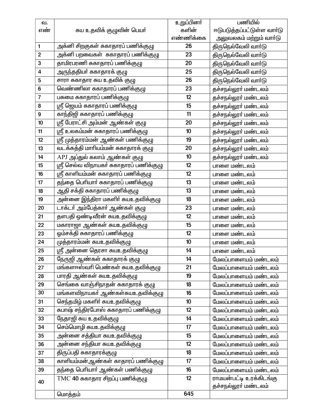| வ.                      |                                         | உறுப்பினர் | பணியில்                    |
|-------------------------|-----------------------------------------|------------|----------------------------|
| எண்                     | சுய உதவிக் குழுவின் பெயா்               | களின்      | ஈடுபடுத்தப்பட்டுள்ள வார்டு |
|                         |                                         | எண்ணிக்கை  | அலுவலகம் மற்றும் வாா்டு    |
| $\mathbf{1}$            | அக்னி சிறகுகள் சுகாதாரப் பணிக்குழு      | 26         | திருநெல்வேலி வாா்டு        |
| $\mathbf{2}$            | அக்னி பறவைகள்  சுகாதாரப் பணிக்குழு      | 23         | திருநெல்வேலி வாா்டு        |
| $\mathbf 3$             | தாமிரபரணி சுகாதாரப் பணிக்குழு           | 20         | திருநெல்வேலி வாா்டு        |
| $\overline{\mathbf{4}}$ | அருந்ததியா் சுகாதாரக் குழு              | 25         | திருநெல்வேலி வாா்டு        |
| 5                       | சாரா சுகாதார சுய உதவிக் குழு            | 26         | திருநெல்வேலி வாா்டு        |
| 6                       | வெண்ணிலா சுகாதாரப் பணிக்குழு            | 23         | தச்சநல்லூா் மண்டலம்        |
| $\boldsymbol{7}$        | பசுமை சுகாதாரப் பணிக்குழு               | 12         | தச்சநல்லூா் மண்டலம்        |
| 8                       | ஸ்ரீ ஜெயம் சுகாதாரப் பணிக்குழு          | 15         | தச்சநல்லூா் மண்டலம்        |
| $\boldsymbol{9}$        | காந்திஜி சுகாதாரப் பணிக்குழு            | 11         | தச்சநல்லூா் மண்டலம்        |
| $10$                    | ஸ்ரீ பேராட்சி அம்மன் ஆண்கள் குழு        | 20         | தச்சநல்லூா் மண்டலம்        |
| 11                      | ஸ்ரீ உலகம்மன் சுகாதாரப் பணிக்குழு       | 10         | தச்சநல்லூா் மண்டலம்        |
| 12                      | ஸ்ரீ முத்தாரம்மன் ஆண்கள் பணிக்குழு      | 19         | தச்சநல்லூா் மண்டலம்        |
| 13                      | வடக்கத்தி மாரியம்மன் சுகாதாரக் குழு     | 20         | தச்சநல்லூா் மண்டலம்        |
| 14                      | APJ அப்துல் கலாம் ஆண்கள் குழு           | 10         | தச்சநல்லூா் மண்டலம்        |
| 15                      | ஸ்ரீ செல்வ விநாயகா் சுகாதாரப் பணிக்குழு | 12         | பாளை மண்டலம்               |
| 16                      | ஸ்ரீ காளியம்மன் சுகாதாரப் பணிக்குழு     | 12         | பாளை மண்டலம்               |
| 17                      | தந்தை பெரியாா் சுகாதாரப் பணிக்குழு      | 13         | பாளை மண்டலம்               |
| 18                      | ஆதி சக்தி சுகாதாரப் பணிக்குழு           | 13         | பாளை மண்டலம்               |
| 19                      | அன்னை இந்திரா மகளிா் சுயஉதவிக்குழு      | 18         | பாளை மண்டலம்               |
| 20                      | டாக்டர் அம்பேத்கார் ஆண்கள் குழு         | 23         | பாளை மண்டலம்               |
| 21                      | தளபதி ஒண்டிவீரன் சுயஉதவிக்குழு          | 12         | பாளை மண்டலம்               |
| 22                      | மகாராஜா ஆண்கள் சுயஉதவிக்குழு            | 15         | பாளை மண்டலம்               |
| 23                      | ஒம்சக்தி சுகாதாரப் பணிக்குழு            | 12         | பாளை மண்டலம்               |
| 24                      | <mark>முத்தாரம்மன் சுயஉதவிக்குழு</mark> | 10         | பாளை மண்டலம்               |
| 25                      | ஸ்ரீ அன்னை தெரசா சுயஉதவிக்குழு          | 14         | பாளை மண்டலம்               |
| 26                      | நேருஜி ஆண்கள் சுகாதாரக் குழு            | 14         | மேலப்பாளையம் மண்டலம்       |
| 27                      | மங்களாஸ்வாி பெண்கள் சுயஉதவிக்குழு       | 21         | மேலப்பாளையம் மண்டலம்       |
| 28                      | பாரதி ஆண்கள் சுயஉதவிக்குழு              | 19         | மேலப்பாளையம் மண்டலம்       |
| 29                      | செங்கை வாஞ்சிநாதன் சுகாதாரக் குழு       | 18         | மேலப்பாளையம் மண்டலம்       |
| 30                      | மங்களவிநாயகா் ஆண்கள்சுயஉதவிக்குழு       | 16         | மேலப்பாளையம் மண்டலம்       |
| 31                      | செந்தமிழ் மகளிா் சுயஉதவிக்குழு          | 10         | மேலப்பாளையம் மண்டலம்       |
| 32                      | சுபாஷ் சந்திரபோஸ் சுகாதாரப் பணிக்குழு   | 12         | மேலப்பாளையம் மண்டலம்       |
| 33                      | நேதாஜி சுய உதவிக்குழு                   | 14         | மேலப்பாளையம் மண்டலம்       |
| 34                      | செம்மொழி சுயஉதவிக்குழு                  | 17         | மேலப்பாளையம் மண்டலம்       |
| 35                      | அன்னை சத்தியா சுயஉதவிக்குழு             | 15         | மேலப்பாளையம் மண்டலம்       |
| 36                      | <u>அன்னை சந்தியா சுயஉதவி</u> க்குழு     | 12         | மேலப்பாளையம் மண்டலம்       |
| 37                      | திருப்பதி சுகாதாரக்குழு                 | 18         | மேலப்பாளையம் மண்டலம்       |
| 38                      | காளியம்மன்ஆண்கள் காதாரப் பணிக்குழு      | 17         | மேலப்பாளையம் மண்டலம்       |
| 39                      | தந்தை பெரியார் ஆண்கள் பணிக்குழு         | 16         | மேலப்பாளையம் மண்டலம்       |
|                         | $TMC$ 40 சுகாதார சிறப்பு பணிக்குழு      | 12         | ராமயன்பட்டி உரக்கிடங்கு    |
| 40                      |                                         |            | தச்சநல்லூா் மண்டலம்        |
|                         | மொத்தம்                                 | 645        |                            |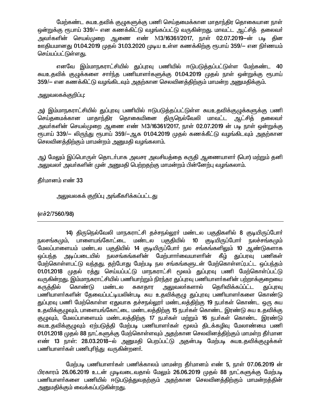மேற்கண்ட சுயஉதவிக் குழுகளுக்கு பணி செய்தமைக்கான மாதாந்திர தொகையான நாள் ஒன்றுக்கு ரூபாய் 339/— என கணக்கிட்டு வழங்கப்பட்டு வருகின்றது. மாவட்ட ஆட்சித் தலைவா் அவா்களின் செயல்முறை ஆணை எண் M3/16361/2017, நாள் 02.07.2019—ன் படி கின ஊதியமானது 01.04.2019 முதல் 31.03.2020 முடிய உள்ள கணக்கிற்கு ரூபாய் 359/— என நிர்ணயம் செய்யப்பட்டுள்ளது.

எனவே இம்மாநகராட்சியில் துப்புரவு பணியில் ஈடுபடுத்தப்பட்டுள்ள மேற்கண்ட 40 சுயஉதவிக் குழுக்களை சாா்ந்த பணியாளா்களுக்கு 01.04.2019 முதல் நாள் ஒன்றுக்கு ரூபாய் 359/— என கணக்கிட்டு வழங்கிடவும் அதற்கான செலவினத்திற்கும் மாமன்ற அனுமதிக்கும்.

### அலுவலகக்குறிப்பு:

அ) இம்மாநகராட்சியில் துப்புரவு பணியில் ஈடுபடுத்தப்பட்டுள்ள சுயஉதவிக்குழுக்களுக்கு பணி செய்தமைக்கான மாதாந்திர தொகையினை திருநெல்வேலி மாவட்ட ஆட்சித் தலைவா் அவா்களின் செயல்முறை ஆணை எண் M3/16361/2017, நாள் 02.07.2019 ன் படி நாள் ஒன்றுக்கு ரூபாய் 339/— லிருந்து ரூபாய் 359/—ஆக 01.04.2019 முதல் கணக்கீட்டு வழங்கிடவும் அதற்கான செலவினக்கிற்கும் மாமன்றம் அனுமகி வழங்கலாம்.

ஆ) மேலும் இப்பொருள் தொடர்பாக அவசர அவசியத்தை கருதி ஆணையாளர் (பொ) மற்றும் தனி அலுவலா் அவா்களின் முன் அனுமதி பெற்றதற்கு மாமன்றம் பின்னேற்பு வழங்கலாம்.

தீர்மானம் எண் 33

<u>அலுவலகக் குறிப்பு அங்கீகரிக்கப்பட்டது</u>

## (எச்2/7560/98)

14) திருநெல்வேலி மாநகராட்சி தச்சநல்லூா் மண்டல பகுதிகளில் 8 குடியிருப்போா் நலசங்கமும். பாளையங்கோட்டை மண்டல பகுதியில் 10 குடியிருப்போர் நலச்சங்கமும் மேலப்பாளையம் மண்டல பகுதியில் 14 குடியிருப்போர் நல சங்கங்களிலும் 10 ஆண்டுகளாக அடிப்படையில் நலசங்கங்களின் மேற்பாாா்வையாளாின் கீழ் துப்பரவு பணிகள் ஒப்பந்த மேற்கொள்ளபட்டு வந்தது. தற்போது மேற்படி நல சங்கங்களுடன் மேற்கொள்ளப்;பட்ட ஒப்பந்தம் 01.01.2018 முதல் ரத்து செய்யப்பட்டு மாநகராட்சி மூலம் துப்புரவு பணி மேற்கொள்ப்பட்டு வருகின்றது. இம்மாநகராட்சியில் பணியாற்றும் நிரந்தர துப்புரவு பணியாளா்களின் பற்றாக்குறையை மண்டல கருக்கில் கொண்டு சுகாதார அலுவலா்களால் கெரிவிக்கப்ப்ட்ட துப்புரவு பணியாளா்களின் தேவைப்பட்டியலின்படி சுய உதவிக்குழு துப்புரவு பணியாளா்களை கொண்டு துப்புரவு பணி மேற்கொள்ள ஏதுவாக தச்சநல்லூா் மண்டலத்திற்கு 19 நபா்கள் கொண்ட ஒரு சுய உதவிக்குழுவும், பாளையங்கோட்டை மண்டலத்திற்கு 15 நபர்கள் கொண்ட இரண்டு சுய உதவிக்கு குழுவும், மேலப்பாளையம் மண்டலத்திற்கு 17 நபா்கள் மற்றும் 16 நபா்கள் கொண்ட இரண்டு சுயஉதவிக்குழுவும் ஏற்படுத்தி மேற்படி பணியாளர்கள் மூலம் திடக்கழிவு மேலாண்மை பணி 01.01.2018 முதல் 88 நாட்களுக்கு மேற்கொள்ளவும் அதற்கான செலவினத்திற்கும் மாமள்ற தீர்மான எண் 13 நாள்: 28.03.2018–ல் அனுமதி பெறப்பட்டு அதன்படி மேற்படி சுயஉதவிக்குமுக்கள் பணியாளா்கள் பணிபுரிந்து வருகின்றனா்.

மேற்படி பணியாளர்கள் பணிக்காலம் மாமன்ற தீர்மானம் எண் 5, நாள் 07.06.2019 ன் பிரகாரம் 26.06.2019 உடன் முடிவடைவதால் மேலும் 26.06.2019 முதல் 88 நாட்களுக்கு மேற்படி பணியாளா்களை பணியில் ஈடுபடுத்துவதற்கும் அதற்கான செலவினத்திற்கும் மாமன்றத்தின் அனுமதிக்கும் வைக்கப்படுகின்றது.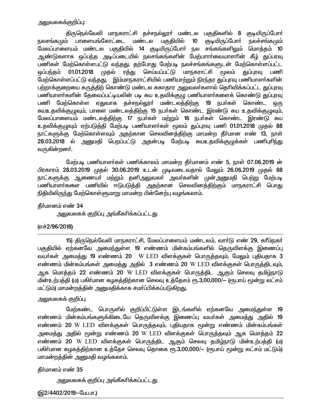திருநெல்வேலி மாநகராட்சி தச்சநல்லூா் மண்டல பகுதிகளில் 8 குடியிருப்போா் நலசங்கமும் பாளையங்கோட்டை மண்டல பகுகியில் 10 குடியிருப்போர் நலச்சங்கமும் மேலப்பாளையம் மண்டல பகுதியில் 14 குடியிருப்போர் நல சங்கங்களிலும் மொத்தம் 10 ஆண்டுகளாக ஒப்பந்த அடிப்படையில் நலசங்கங்களின் மேற்பாார்வையாளரின் கீழ் துப்பரவு பணிகள் மேற்கொள்ளபட்டு வந்தது. தற்போது மேற்படி நலச்சங்கங்களுடன் மேற்கொள்ளப்பட்ட <u>ஒ</u>ப்பந்தம் 01.01.2018 முதல் ரத்து செய்யப்பட்டு மாநகராட்சி மூலம் துப்புரவு பணி மேற்கொள்ளப்பட்டு வந்தது. இம்மாநகராட்சியில் பணியாற்றும் நிரந்தர துப்புரவு பணியாளர்களின் பற்றாக்குறையை கருத்திற் கொண்டு மண்டல சுகாதார அலுவலா்களால் தெரிவிக்கப்பட்ட துப்புரவு பணியாளர்களின் தேவைப்பட்டியலின் படி சுய உதவிக்குழு பணியாளர்களைக் கொண்டு துப்புரவு பணி மேற்கொள்ள ஏதுவாக தச்சநல்லூா் மண்டலத்திற்கு 19 நபா்கள் கொண்ட ஒரு கயஉதவிக்குழுவும், பாளை மண்டலத்திற்கு 15 நபர்கள் கொண்ட இரண்டு சுய உதவிக்குழுவும், மேலப்பாளையம் மண்டலத்திற்கு 17 நபர்கள் மற்றும் 16 நபர்கள் கொண்ட இரண்டு சுய உதவிக்குழுவும் ஏற்படுத்தி மேற்படி பணியாளர்கள் மூலம் துப்புரவு பணி 01.01.2018 முதல் 88 நாட்களுக்கு மேற்கொள்ளவும் அதற்கான செலவினத்திற்கு மாமன்ற தீர்மான எண் 13, நாள் 28.03.2018 ல் அனுமதி பெறப்பட்டு அதன்படி மேற்படி சுயஉதவிக்குழுக்கள் பணிபுரிந்து வருகின்றன**ா்.** 

மேற்படி பணியாளர்கள் பணிக்காலம் மாமன்ற தீர்மானம் எண் 5, நாள் 07.06.2019 ன் பிரகாரம் 28.03.2019 முதல் 30.06.2019 உடன் முடிவடைவதால் மேலும் 26.06.2019 முதல் 88 நாட்களுக்கு ஆணையா் மற்றும் தனிஅலுவலா் அவா்களின் முன்அனுமதி பெற்று மேற்படி பணியாளா்களை பணியில் ஈடுபடுத்தி அதற்கான செலவினத்திற்கும் மாநகராட்சி பொது நிதியிலிருந்து மேற்கொள்ளுமாறு மாமன்ற பின்னேற்பு வழங்கலாம்.

#### கீர்மானம் எண் 34

<u>அலு</u>வலகக் குறிப்பு அங்கீகரிக்கப்பட்டது

#### (எச்2/96/2018)

15) திருநெல்வேலி மாநகராட்சி, மேலப்பாளையம் மண்டலம், வார்டு எண் 29, கரீம்நகர் பகுதியில் ஏற்கனவே அமைந்துள்ள 19 எண்ணம் மின்கம்பங்களில் தெருவிளக்கு இணைப்பு வயர்கள் அமைத்து 19 எண்ணம் 20 W LED விளக்குகள் பொருத்தவும், மேலும் புதியதாக 3 எண்ணம் மின்கம்பங்கள் அமைத்து அதில் 3 எண்ணம் 20  $\rm W$  LED விளக்குகள் பொருத்திடவும், ஆக மொத்தம் 22 எண்ணம் 20 W LED விளக்குகள் பொருத்திட ஆகும் செலவு தமிழ்நாடு ்மின்உற்பத்தி (ம) பகிர்மான கமகத்திற்கான செலவு உத்தேசம் ரூ.3,00,000/— (ரூபாய் மூன்று லட்சம் மட்டும்) மாமன்றத்தின் அனுமதிக்காக சமர்ப்பிக்கப்படுகிறது.

#### அலுவலகக் குறி**ப்**பு

மேற்கண்ட பொருளில் குறிப்பிட்டுள்ள இடங்களில் ஏற்கனவே அமைந்துள்ள **19** எண்ணம் மின்கம்பங்களுக்கிடையே தெருவிளக்கு இணைப்பு வயர்கள் அமைத்து அதில் 19 எண்ணம் 20 W LED விளக்குகள் பொருத்தவும், புதியதாக மூன்று எண்ணம் மின்கம்பங்கள் அமைத்து அதில் மூன்று எண்ணம் 20 W LED விளக்குகள் பொருத்தவும் ஆக மொத்தம் 22 எண்ணம் 20  $W$   $LED$  விளக்குகள் பொருத்திட ஆகும் செலவு தமிழ்நாடு மின்உற்பத்தி (ம) பகிர்மான கழகத்திற்கான உத்தேச செலவு தொகை ரூ.3,00,000/— (ரூபாய் மூன்று லட்சம் மட்டும்) மாமன்றத்தின் அனுமதி வழங்கலாம்.

கீர்மானம் எண் 35

```
<u>அலுவலகக் குறிப்பு அங்கீகரிக்கப்பட்டது</u>
```
(இ2/4402/2019-மே.பா.)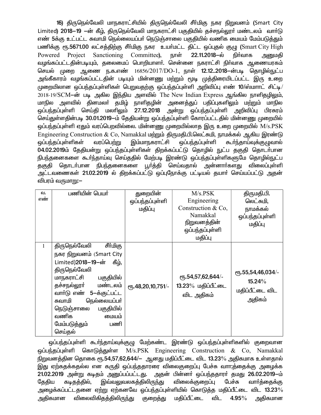16) திருநெல்வேலி மாநகராட்சியில் திருநெல்வேலி சீர்மிகு நகர நிறுவனம் (Smart City Limited) 2018–19 –ன் கீழ், திருநெல்வேலி மாநகராட்சி பகுதியில் தச்சநல்லூா் மண்டலம் வாா்டு எண் 5க்கு உட்பட்ட சுவாமி நெல்லையப்பா் நெடுஞ்சாலை பகுதியில் வணிக மையம் மேம்படுத்தும் பணிக்கு ரூ.5671.00 லட்சத்திற்கு சீர்மிகு நகர உயர்மட்ட திட்ட ஒப்புதல் குழு (Smart City High Powered Project Sanctioning Committee), நாள் 22.11.2018-ல் நிர்வாக அனுமகி வழங்கப்பட்டதின்படியும், தலைமைப் பொறியாளர். சென்னை நகராட்சி நிர்வாக ஆணையரகம் செயல் முறை ஆணை ந.க.எண் 16856/2017/DO-1, நாள் **12.12..2018**—ன்படி தொழில்நுட்ப அங்கீகாரம் வழங்கப்பட்டதின் படியும் மின்னணு மற்றும் மூடி முத்திரையிடப்பட்ட இரு உறை முறையிலான ஒப்பந்தப்புள்ளிகள் பெறுவதற்கு ஒப்பந்தப்புள்ளி அறிவிப்பு எண் 10/ஸ்மாாட் சிட்டி/ 2018-19/SCM-ன் படி அகில இந்திய அளவில் The New Indian Express ஆங்கில நாளிதழிலும், மாநில அளவில் தினமலா் தமிழ் நாளிதழின் அனைத்துப் பதிப்புகளிலும் மற்றும் மாநில ஒப்பந்தப்பள்ளி செய்தி மலாிலும் 27.12.2018 அன்று ஒப்பந்தப்புள்ளி அறிவிப்பு பிரசுரம் செய்துள்ளதின்படி 30.01.2019-ம் தேதியன்று ஒப்பந்தப்புள்ளி கோரப்பட்டதில் மின்னணு முறையில் ஒப்பந்தப்பள்ளி ஏதும் வரப்பெறவில்லை. மின்னணு முறையில்லாத இரு உறை முறையில் M/s.PSK Engineering Construction & Co, Namakkal மற்றும் திருமதி.பி.லெட்சுமி, நாமக்கல் ஆகிய இரண்டு வப்பந்கப்பள்ளிகள் வரப்பெற்று இம்மாநகராட்சி ஒப்பந்தப்புள்ளி கூர்ந்தாய்வுக்குமுவால் 04.02.2019ம் தேதியன்று ஒப்பந்தப்புள்ளிகள் திறக்கப்பட்டு தொழில் நுட்ப தகுதி தொடர்பான நிபந்தனைகளை கூா்ந்தாய்வு செய்ததில் மேற்படி இரண்டு ஒப்பந்தப்புள்ளிகளுமே தொழில்நுட்ப தகுதி தொடர்பான நிபந்தனைகளை பூர்த்தி செய்வதால் அன்னார்களது விலைப்புள்ளி அட்டவணைகள் 21.02.2019 ல் திறக்கப்பட்டு ஒப்புநோக்கு பட்டியல் தயார் செய்யப்பட்டு அதன் விபரம் வருமாறு:—

| வ.  | பணியின் பெயர்               | துறையின்              | M/s. PSK                                 | திருமதி.பி.       |
|-----|-----------------------------|-----------------------|------------------------------------------|-------------------|
| எண் |                             | ஒப்பந்தப்புள்ளி       | Engineering                              | லெட்சுமி,         |
|     |                             | மதிப்பு               | Construction & Co,                       | நாமக்கல்          |
|     |                             |                       | Namakkal                                 | ஒப்பந்தப்புள்ளி   |
|     |                             |                       | நிறுவனத்தின்                             | மதிப்பு           |
|     |                             |                       | ஒப்பந்தப்புள்ளி                          |                   |
|     |                             |                       | மதிப்பு                                  |                   |
| 1   | திருநெல்வேலி<br>சீர்மிகு    |                       |                                          |                   |
|     | நகர நிறுவனம் (Smart City    |                       |                                          |                   |
|     | Limited)2018-19-ன்<br>கீம், |                       |                                          |                   |
|     | திருநெல்வேலி                |                       |                                          | ரு.55,54,46,034/- |
|     | மாநகராட்சி<br>பகுதியில்     |                       | $\epsilon$ <sup>0</sup> 5.54,57,62,644/- | $15.24\%$         |
|     | தச்சநல்லூா் மண்டலம்         | $e$ гђ.48,20,10,751/- | 13.23% மதிப்பீட்டை                       |                   |
|     | வாா்டு எண் 5-க்குட்பட்ட     |                       | விட அதிகம்                               | மதிப்பீட்டை விட   |
|     | நெல்லையப்பா்<br>சுவாமி      |                       |                                          | அதிகம்            |
|     | பகுதியில்<br>நெடுஞ்சாலை     |                       |                                          |                   |
|     | வணிக<br>மையம்               |                       |                                          |                   |
|     | மேம்படுத்தும்<br>பணி        |                       |                                          |                   |
|     | செய்தல்                     |                       |                                          |                   |

ஒப்பந்தப்புள்ளி கூா்ந்தாய்வுக்குழு மேற்கண்ட இரண்டு ஒப்பந்தப்புள்ளிகளில் குறைவான ஒப்பந்தப்புள்ளி கொடுத்துள்ள M/s.PSK Engineering Construction & Co, Namakkal நிறுவனத்தின தொகை ரூ.54,57,62,644/– ஆனது மதிப்பீட்டை விட 13.23% அதிகமாக உள்ளதால் இது ஏற்கதக்கதல்ல என கருதி ஒப்பந்ததாரரை விலைகுறைப்பு பேச்சு வாா:க்கைக்கு அமைக்க 21.02.2019 அன்று கடிதம் அனுப்பப்பட்டது. அதன் பின்னர் ஒப்பந்ததாரர் தமது 26.02.2019-ம் இவ்வலுவலகத்திலிரு<u>ந்</u>து விலைக்குறைப்பு பேச்சு கேகிய கடிகக்கில். வார்த்தைக்கு அழைக்கப்பட்டதனை ஏற்று ஏற்கனவே ஒப்பந்தப்புள்ளியில் கொடுத்த மதிப்பீட்டை விட 13.23 $\%$ அதிகமான விலைவிகிதத்திலிருந்து குறைத்து மகிப்பீட்டை விட  $4.95\%$ அகிகமான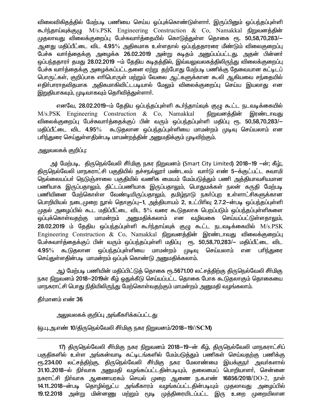விலைவிகிதத்தில் மேற்படி பணியை செய்ய ஓப்புக்கொண்டுள்ளாா். இருப்பினும் ஒப்பந்தப்புள்ளி கூர்ந்தாய்வுக்குழு M/s.PSK Engineering Construction & Co, Namakkal நிறுவனத்தின் முதலாவது விலைக்குறைப்பு பேச்சுவார்த்தையில் கொடுத்துள்ள தொகை ரூ. 50,58,70,283/— ஆனது மதிப்பீட்டை விட 4.95% அதிகமாக உள்ளதால் ஒப்பந்ததாரரை மீண்டும் விலைகுறைப்பு பேச்சு வார்த்தைக்கு அழைக்க 26.02.2019 அன்று கடிதம் அனுப்பப்பட்டது. அதன் பின்னர் ஒப்பந்ததாரா் தமது 28.02.2019 —ம் தேதிய கடிதத்தில், இவ்வலுவலகத்திலிருந்து விலைக்குறைப்பு பேச்சு வார்த்தைக்கு அழைக்கப்பட்டதனை ஏற்று தற்போது மேற்படி பணிக்கு தேவையான கட்டிடப் பொருட்கள், குறிப்பாக எாிபொருள் மற்றும் வேலை ஆட்களுக்கான கூலி ஆகியவை சந்தையில் எதிா்பாராதவிதமாக அதிகமாகிவிட்டபடியால் மேலும் விலைக்குறைப்பு செய்ய இயலாது என இறுதியாகவும், முடிவாகவும் தெரிவித்துள்ளார்.

எனவே, 28.02.2019—ம் தேதிய ஒப்பந்தப்புள்ளி கூர்ந்தாய்வுக் குழு கூட்ட நடவடிக்கையில் M/s.PSK Engineering Construction & Co, Namakkal <u>நிறுவனத்தின் இரண்டாவது</u> விலைக்குறைப்பு பேச்சுவார்த்தைக்குப் பின் வரும் ஒப்பந்தப்புள்ளி மதிப்பு ரூ. 50,58,70,283/— மதிப்பீட்டை விட 4.95% கூடுதலான ஒப்பந்தப்புள்ளியை மாமன்றம் முடிவு செய்யலாம் என பாிந்துரை செய்துள்ளதி;ன்படி மாமன்றத்தின் அனுமதிக்கும் முடிவிற்கும்.

## அலுவலகக் குறிப்பு:

அ) மேற்படி, திருநெல்வேலி சீா்மிகு நகர நிறுவனம் (Smart City Limited) 2018—19 —ன்; கீழ்;, திருநெல்வேலி மாநகராட்சி பகுதியில் தச்சநல்லார் மண்டலம் வார்டு எண் 5-க்குட்பட்ட சுவாமி நெல்லையப்பா் நெடுஞ்சாலை பகுதியில் வணிக மையம் மேம்படுத்தும் பணி அத்தியாவசியமான பணியாக இருப்பதாலும், திட்டப்பணியாக இருப்பதாலும், பொதுமக்கள் நலன் கருதி மேற்படி பணியினை மேற்கொள்ள வேண்டியிருப்பதாலும், தமிழ்நாடு நகர்ப்புற உள்ளாட்சிகளுக்கான பொறியியல் நடைமுறை நூல் தொகுப்பு—1, அத்தியாயம் 2, உட்பிரிவு 2.7.2—ன்படி ஒப்பந்தப்புள்ளி முதல் அழைப்பில் கூட மதிப்பீட்டை விட 5% வரை கூடுதலாக பெறப்படும் ஒப்பந்தப்புள்ளிகளை ஒப்புக்கொள்வதற்கு மாமன்றம் அனுமதிக்கலாம் என வழிவகை செய்யப்பட்டுள்ளதாலும், 28.02.2019 ம் தேதிய ஒப்பந்தப்புள்ளி கூர்ந்தாய்வுக் குழு கூட்ட நடவடிக்கையில் M/s.PSK Engineering Construction & Co, Namakkal நிறுவனத்தின் இரண்டாவது விலைக்குறைப்பு பேச்சுவார்க்தைக்குப் பின் வரும் ஒப்பந்தப்புள்ளி மதிப்பு ரூ. 50,58,70,283/— மதிப்பீட்டை விட கூடுகலான ஒப்பந்தப்புள்ளியை மாமன்றம் முடிவு  $4.95\%$ செய்யலாம் என பரிந்துரை செய்துள்ளதின்படி மாமன்றம் ஒப்புக் கொண்டு அனுமதிக்கலாம்.

ஆ) மேற்படி பணியின் மதிப்பிட்டுத் தொகை ரூ.5671.00 லட்சத்திற்கு திருநெல்வேலி சீர்மிகு நகர நிறுவனம் 2018–2019ன் கீழ் ஒதுக்கீடு செய்யப்பட்ட தொகை போக கூடுதலாகும் தொகையை மாநகராட்சி பொது நிதியிலிருந்து மேற்கொள்வதற்கும் மாமன்றம் அனுமதி வழங்கலாம்.

## தீா்மானம் எண் 36

அலுவலகக் குறிப்பு அங்கீகரிக்கப்பட்டது

## (ஒ.பு.அ.எண் 10/திருநெல்வேலி சீா்மிகு நகர நிறுவனம்/2018–19//SCM)

<sup>17)</sup> திருநெல்வேலி சீர்மிகு நகர நிறுவனம் 2018–19–ன் கீழ், திருநெல்வேலி மாநகராட்சிப் பகுதிகளில் உள்ள அங்கன்வாடி கட்டிடங்களில் மேம்படுக்தும் பணிகள் செய்வதற்கு பணிக்கு ரூ.234.00 லட்சத்திற்கு, திருநெல்வேலி சீா்மிகு நகர மேலாண்மை இயக்குநா் அவா்களால் 31.10..2018-ல் நிர்வாக அனுமதி வழங்கப்பட்டதின்படியும், தலைமைப் பொறியாளர், சென்னை நகராட்சி நிர்வாக ஆணையரகம் செயல் முறை ஆணை ந.க.எண் 16856/2018/DO-2, நாள் 14.11..2018-ன்படி தொழில்நுட்ப அங்கீகாரம் வழங்கப்பட்டதின்படியும் முதலாவது அழைப்பில் 19.12.2018 அன்று மின்னணு மற்றும் மூடி முத்திரையிடப்பட்ட இரு உறை முறையிலான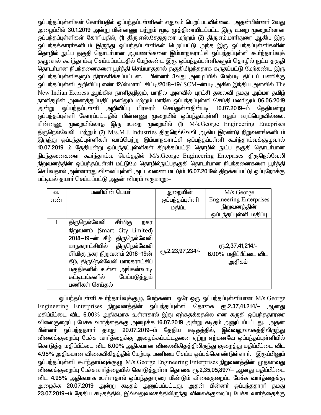ஒப்பந்தப்புள்ளிகள் கோரியதில் ஒப்பந்தப்புள்ளிகள் எதுவும் பெறப்படவில்லை. அதன்பின்னா் 2வது அழைப்பில் 30.1.2019 அன்று மின்னணு மற்றும் மூடி முத்திரையிடப்பட்ட இரு உறை முறையிலான ஒப்பந்தப்புள்ளிகள் கோரியதில், (1) திரு.எஸ்.சேதுதுரை மற்றும் (2) திரு.எம்.மாரிதுரை ஆகிய இரு .<br>ஒப்பந்தக்காராகளிடம் இருந்து ஒப்பந்தப்புள்ளிகள் பெறப்பட்டு அந்த இரு ஒப்பந்தப்புள்ளிகளின் தொழில் நுட்ப தகுதி தொடா்பான ஆவணங்களை இம்மாநகராட்சி ஒப்பந்தப்புள்ளி கூா்ந்தாய்வுக் குழுவால் கூர்ந்தாய்வு செய்யப்பட்டதில் மேற்கண்ட இரு ஒப்பந்தப்புள்ளிகளும் தொழில் நுட்ப தகுதி தொடர்பான நிபந்தனைகளை பூர்த்தி செய்யாததால் தகுதியிழந்ததாக கருதப்பட்டு மேற்கண்ட இரு ஒப்பந்தப்புள்ளிகளும் நிராகாிக்கப்பட்டன. பின்னா் 3வது அழைப்பில் மேற்படி திட்டப் பணிக்கு ஒப்பந்தப்புள்ளி அறிவிப்பு எண் 12/ஸ்மாாட் சிட்டி/2018-19/ SCM-ன்படி அகில இந்திய அளவில் The New Indian Express ஆங்கில நாளிதழிலும், மாநில அளவில் புரட்சி தலைவி நமது அம்மா தமிழ் நாளிதழின் அனைத்துப்பதிப்புகளிலும் மற்றும் மாநில ஒப்பந்தப்புள்ளி செய்தி மலரிலும் 06.06.2019 .<br>அன்று ஒப்பந்தப்புள்ளி அறிவிப்பு பிரசுரம் செய்துள்ளதின்படி 10.07.2019—ம் தேதியன்று ஒப்பந்தப்புள்ளி கோரப்பட்டதில் மின்னணு முறையில் ஒப்பந்தப்புள்ளி ஏதும் வரப்பெறவில்லை. மின்னணு முறையில்லாக இரு உறை முறையில் (1)  $M/s$ . George Engineering Enteprises கிருநெல்வேலி மற்றும் (2) M/s.M.J. Industries திருநெல்வேலி ஆகிய இரண்டு நிறுவனங்களிடம் .<br>இருந்து ஒப்பந்தப்புள்ளிகள் வரப்பெற்று இம்மாநகராட்சி ஒப்பந்தப்புள்ளி கூர்ந்தாய்வுக்குழுவால் 10.07.2019 ம் தேதியன்று ஒப்பந்தப்புள்ளிகள் திறக்கப்பட்டு தொழில் நுட்ப தகுதி தொடர்பான நிபந்தனைகளை கூர்ந்தாய்வு செய்ததில் M/s.George Engineering Enteprises திருநெல்வேலி .<br>நிறுவனத்தின் ஒப்பந்தப்புள்ளி மட்டுமே தொழில்நுட்பதகுதி தொடா்பான நிபந்தனைகளை பூா்த்தி செய்வதால் அன்னாரது விலைப்புள்ளி அட்டவணை மட்டும் 16.07.2019ல் திறக்கப்பட்டு ஒப்புநோக்கு பட்டியல் தயாா் செய்யப்பட்டு அதன் விபரம் வருமாறு:—

| வ.  | பணியின் பெயர்                   | துறையின்         | M/s.George                     |
|-----|---------------------------------|------------------|--------------------------------|
| எண் |                                 | ஒப்பந்தப்புள்ளி  | <b>Engineering Enterprises</b> |
|     |                                 | மதிப்பு          | நிறுவனத்தின்                   |
|     |                                 |                  | ஒப்பந்தப்புள்ளி மதிப்பு        |
|     | திருநெல்வேலி சீா்மிகு<br>நகர    |                  |                                |
|     | நிறுவனம் (Smart City Limited)   |                  |                                |
|     | 2018–19–ன் கீழ் திருநெல்வேலி    |                  |                                |
|     | மாநகராட்சியில் திருநெல்வேலி     |                  | ரூ.2,37,41,214/-               |
|     | சீர்மிகு நகர நிறுவனம் 2018—19ன் | еҧ.2,23,97,234/- | $6.00\%$ மதிப்பீட்டை விட       |
|     | கீழ், திருநெல்வேலி மாநகராட்சிப் |                  | அதிகம்                         |
|     | பகுதிகளில் உள்ள அங்கன்வாடி      |                  |                                |
|     | கட்டிடங்களில் மேம்படுத்தும்     |                  |                                |
|     | பணிகள் செய்தல்                  |                  |                                |

ஒப்பந்தப்புள்ளி கூர்ந்தாய்வுக்குழு, மேற்கண்ட ஒரே ஒரு ஒப்பந்தப்புள்ளியான M/s.George Engineering Enterprises நிறுவனத்தின் ஒப்பந்தப்புள்ளி தொகை ரூ.2,37,41,214/– ஆனது மதிப்பீட்டை விட 6.00% அதிகமாக உள்ளதால் இது ஏற்கதக்கதல்ல என கருதி ஒப்பந்ததாரரை விலைகுறைப்பு பேச்சு வார்த்தைக்கு அழைக்க 16.07.2019 அன்று கடிதம் அனுப்பப்பட்டது. அதன் பின்னா் ஒப்பந்ததாரா் தமது 20.07.2019-ம் தேதிய கடிதத்தில், இவ்வலுவலகத்திலிருந்து விலைக்குறைப்பு பேச்சு வார்த்தைக்கு அழைக்கப்பட்டதனை ஏற்று ஏற்கனவே ஒப்பந்தப்புள்ளியில் கொடுத்த மதிப்பீட்டை விட 6.00% அதிகமான விலைவிகிதத்திலிருந்து குறைத்து மதிப்பீட்டை விட 4.95% அதிகமான விலைவிகிதத்தில் மேற்படி பணியை செய்ய ஒப்புக்கொண்டுள்ளாா். இருப்பினும் ஒப்பந்தப்புள்ளி கூர்ந்தாய்வுக்குழு M/s.George Engineering Enterprises நிறுவனத்தின் முதலாவது .<br>விலைக்குறைப்பு பேச்சுவார்த்தையில் கொடுத்துள்ள தொகை ரூ.2,35,05,897/– ஆனது மதிப்பீட்டை விட 4.95% அதிகமாக உள்ளதால் ஒப்பந்ததாரரை மீண்டும் விலைகுறைப்பு பேச்சு வார்த்தைக்கு அழைக்க 20.07.2019 அன்று கடிதம் அனுப்பப்பட்டது. அதன் பின்னா் ஒப்பந்ததாரா் தமது 23.07.2019-ம் தேதிய கடிதத்தில், இவ்வலுவலகத்திலிருந்து விலைக்குறைப்பு பேச்சு வார்த்தைக்கு